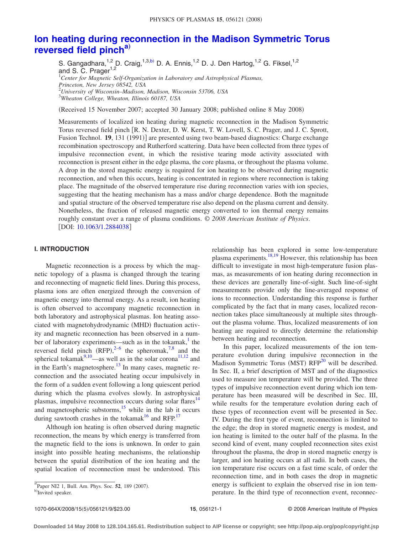# <span id="page-0-0"></span>**[Ion heating during reconnection in the Madison Symmetric Torus](http://dx.doi.org/10.1063/1.2884038) [reversed field pinch](http://dx.doi.org/10.1063/1.2884038)[a](#page-0-0)**…

S. Gangadhara,<sup>1,2</sup> D. Craig,<sup>1,3[,b](#page-0-1))</sup> D. A. Ennis,<sup>1,2</sup> D. J. Den Hartog,<sup>1,2</sup> G. Fiksel,<sup>1,2</sup> and S. C. Prager<sup>1,2</sup> 1 *Center for Magnetic Self-Organization in Laboratory and Astrophysical Plasmas, Princeton, New Jersey 08542, USA* 2 *University of Wisconsin–Madison, Madison, Wisconsin 53706, USA* 3 *Wheaton College, Wheaton, Illinois 60187, USA*

(Received 15 November 2007; accepted 30 January 2008; published online 8 May 2008)

Measurements of localized ion heating during magnetic reconnection in the Madison Symmetric Torus reversed field pinch [R. N. Dexter, D. W. Kerst, T. W. Lovell, S. C. Prager, and J. C. Sprott, Fusion Technol. 19, 131 (1991)] are presented using two beam-based diagnostics: Charge exchange recombination spectroscopy and Rutherford scattering. Data have been collected from three types of impulsive reconnection event, in which the resistive tearing mode activity associated with reconnection is present either in the edge plasma, the core plasma, or throughout the plasma volume. A drop in the stored magnetic energy is required for ion heating to be observed during magnetic reconnection, and when this occurs, heating is concentrated in regions where reconnection is taking place. The magnitude of the observed temperature rise during reconnection varies with ion species, suggesting that the heating mechanism has a mass and/or charge dependence. Both the magnitude and spatial structure of the observed temperature rise also depend on the plasma current and density. Nonetheless, the fraction of released magnetic energy converted to ion thermal energy remains roughly constant over a range of plasma conditions. © *2008 American Institute of Physics*. [DOI: [10.1063/1.2884038](http://dx.doi.org/10.1063/1.2884038)]

### **I. INTRODUCTION**

Magnetic reconnection is a process by which the magnetic topology of a plasma is changed through the tearing and reconnecting of magnetic field lines. During this process, plasma ions are often energized through the conversion of magnetic energy into thermal energy. As a result, ion heating is often observed to accompany magnetic reconnection in both laboratory and astrophysical plasmas. Ion heating associated with magnetohydrodynamic (MHD) fluctuation activity and magnetic reconnection has been observed in a number of laboratory experiments—such as in the tokamak, $<sup>1</sup>$  the</sup> reversed field pinch  $(RFP),^{2-6}$  $(RFP),^{2-6}$  $(RFP),^{2-6}$  the spheromak,<sup>7[,8](#page-8-4)</sup> and the spherical tokamak $9,10$ —as well as in the solar corona<sup>11,[12](#page-8-8)</sup> and in the Earth's magnetosphere. $13$  In many cases, magnetic reconnection and the associated heating occur impulsively in the form of a sudden event following a long quiescent period during which the plasma evolves slowly. In astrophysical plasmas, impulsive reconnection occurs during solar flares<sup>14</sup> and magnetospheric substorms, $\frac{15}{15}$  while in the lab it occurs during sawtooth crashes in the tokamak<sup>16</sup> and RFP.<sup>17</sup>

Although ion heating is often observed during magnetic reconnection, the means by which energy is transferred from the magnetic field to the ions is unknown. In order to gain insight into possible heating mechanisms, the relationship between the spatial distribution of the ion heating and the spatial location of reconnection must be understood. This relationship has been explored in some low-temperature plasma experiments. $18,19$  $18,19$  However, this relationship has been difficult to investigate in most high-temperature fusion plasmas, as measurements of ion heating during reconnection in these devices are generally line-of-sight. Such line-of-sight measurements provide only the line-averaged response of ions to reconnection. Understanding this response is further complicated by the fact that in many cases, localized reconnection takes place simultaneously at multiple sites throughout the plasma volume. Thus, localized measurements of ion heating are required to directly determine the relationship between heating and reconnection.

In this paper, localized measurements of the ion temperature evolution during impulsive reconnection in the Madison Symmetric Torus (MST)  $RFP<sup>20</sup>$  will be described. In Sec. II, a brief description of MST and of the diagnostics used to measure ion temperature will be provided. The three types of impulsive reconnection event during which ion temperature has been measured will be described in Sec. III, while results for the temperature evolution during each of these types of reconnection event will be presented in Sec. IV. During the first type of event, reconnection is limited to the edge; the drop in stored magnetic energy is modest, and ion heating is limited to the outer half of the plasma. In the second kind of event, many coupled reconnection sites exist throughout the plasma, the drop in stored magnetic energy is larger, and ion heating occurs at all radii. In both cases, the ion temperature rise occurs on a fast time scale, of order the reconnection time, and in both cases the drop in magnetic energy is sufficient to explain the observed rise in ion temperature. In the third type of reconnection event, reconnec-

 ${}^{a}$ Paper NI2 1, Bull. Am. Phys. Soc. **52**, 189 (2007).

<span id="page-0-1"></span>Invited speaker.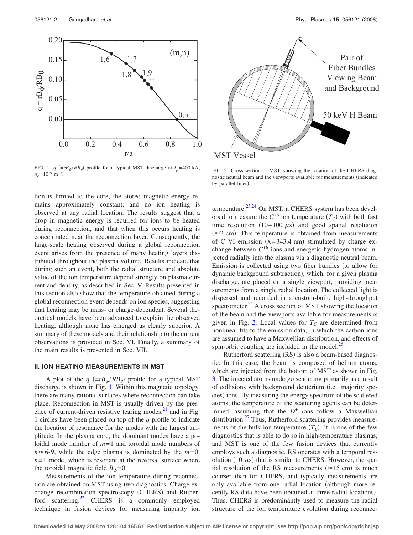<span id="page-1-0"></span>

FIG. 1. *q* ( $=rB_{\phi}/RB_{\theta}$ ) profile for a typical MST discharge at  $I_p$ =400 kA,  $n_e$ = 10<sup>19</sup> m<sup>-3</sup>.

tion is limited to the core, the stored magnetic energy remains approximately constant, and no ion heating is observed at any radial location. The results suggest that a drop in magnetic energy is required for ions to be heated during reconnection, and that when this occurs heating is concentrated near the reconnection layer. Consequently, the large-scale heating observed during a global reconnection event arises from the presence of many heating layers distributed throughout the plasma volume. Results indicate that during such an event, both the radial structure and absolute value of the ion temperature depend strongly on plasma current and density, as described in Sec. V. Results presented in this section also show that the temperature obtained during a global reconnection event depends on ion species, suggesting that heating may be mass- or charge-dependent. Several theoretical models have been advanced to explain the observed heating, although none has emerged as clearly superior. A summary of these models and their relationship to the current observations is provided in Sec. VI. Finally, a summary of the main results is presented in Sec. VII.

### **II. ION HEATING MEASUREMENTS IN MST**

A plot of the  $q (=rB_{\phi}/RB_{\theta})$  profile for a typical MST discharge is shown in Fig. [1.](#page-1-0) Within this magnetic topology, there are many rational surfaces where reconnection can take place. Reconnection in MST is usually driven by the presence of current-driven resistive tearing modes, $^{21}$  and in Fig. [1](#page-1-0) circles have been placed on top of the *q* profile to indicate the location of resonance for the modes with the largest amplitude. In the plasma core, the dominant modes have a poloidal mode number of *m*= 1 and toroidal mode numbers of  $n \approx 6$ -9, while the edge plasma is dominated by the  $m=0$ ,  $n=1$  mode, which is resonant at the reversal surface where the toroidal magnetic field  $B_{\phi}=0$ .

Measurements of the ion temperature during reconnection are obtained on MST using two diagnostics: Charge exchange recombination spectroscopy (CHERS) and Rutherford scattering.<sup>22</sup> CHERS is a commonly employed technique in fusion devices for measuring impurity ion

<span id="page-1-1"></span>

FIG. 2. Cross section of MST, showing the location of the CHERS diagnostic neutral beam and the viewports available for measurements (indicated by parallel lines).

temperature.<sup>23,[24](#page-8-20)</sup> On MST, a CHERS system has been developed to measure the  $C^{+6}$  ion temperature  $(T_C)$  with both fast time resolution  $(10-100 \mu s)$  and good spatial resolution  $(\approx 2$  cm). This temperature is obtained from measurements of C VI emission  $(\lambda = 343.4 \text{ nm})$  stimulated by charge exchange between  $C^{+6}$  ions and energetic hydrogen atoms injected radially into the plasma via a diagnostic neutral beam. Emission is collected using two fiber bundles (to allow for dynamic background subtraction), which, for a given plasma discharge, are placed on a single viewport, providing measurements from a single radial location. The collected light is dispersed and recorded in a custom-built, high-throughput spectrometer. $25$  A cross section of MST showing the location of the beam and the viewports available for measurements is given in Fig. [2.](#page-1-1) Local values for  $T_c$  are determined from nonlinear fits to the emission data, in which the carbon ions are assumed to have a Maxwellian distribution, and effects of spin-orbit coupling are included in the model. $^{20}$ 

Rutherford scattering (RS) is also a beam-based diagnostic. In this case, the beam is composed of helium atoms, which are injected from the bottom of MST as shown in Fig. [3.](#page-2-0) The injected atoms undergo scattering primarily as a result of collisions with background deuterium (i.e., majority species) ions. By measuring the energy spectrum of the scattered atoms, the temperature of the scattering agents can be determined, assuming that the  $D^+$  ions follow a Maxwellian distribution.<sup>27</sup> Thus, Rutherford scattering provides measurements of the bulk ion temperature  $(T_B)$ . It is one of the few diagnostics that is able to do so in high-temperature plasmas, and MST is one of the few fusion devices that currently employs such a diagnostic. RS operates with a temporal resolution (10  $\mu$ s) that is similar to CHERS. However, the spatial resolution of the RS measurements ( $\approx$ 15 cm) is much coarser than for CHERS, and typically measurements are only available from one radial location (although more recently RS data have been obtained at three radial locations). Thus, CHERS is predominantly used to measure the radial structure of the ion temperature evolution during reconnec-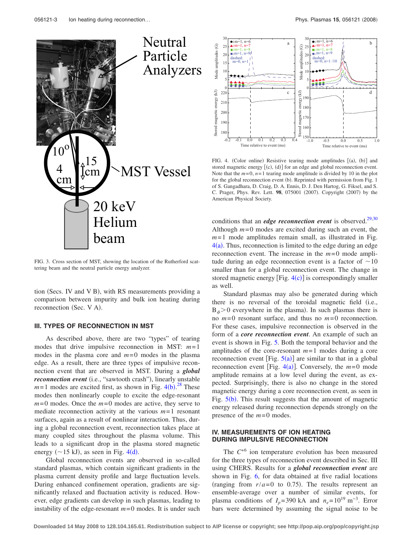<span id="page-2-0"></span>

FIG. 3. Cross section of MST, showing the location of the Rutherford scattering beam and the neutral particle energy analyzer.

tion (Secs. IV and V B), with RS measurements providing a comparison between impurity and bulk ion heating during reconnection (Sec. V A).

# **III. TYPES OF RECONNECTION IN MST**

As described above, there are two "types" of tearing modes that drive impulsive reconnection in MST: *m*= 1 modes in the plasma core and  $m=0$  modes in the plasma edge. As a result, there are three types of impulsive reconnection event that are observed in MST. During a *global* reconnection event (i.e., "sawtooth crash"), linearly unstable  $m=1$  modes are excited first, as shown in Fig. 4([b](#page-2-1)).<sup>[28](#page-8-24)</sup> These modes then nonlinearly couple to excite the edge-resonant *m*= 0 modes. Once the *m*= 0 modes are active, they serve to mediate reconnection activity at the various *m*= 1 resonant surfaces, again as a result of nonlinear interaction. Thus, during a global reconnection event, reconnection takes place at many coupled sites throughout the plasma volume. This leads to a significant drop in the plasma stored magnetic energy ( $\sim$ 15 kJ), as seen in Fig. [4](#page-2-1)(d).

Global reconnection events are observed in so-called standard plasmas, which contain significant gradients in the plasma current density profile and large fluctuation levels. During enhanced confinement operation, gradients are significantly relaxed and fluctuation activity is reduced. However, edge gradients can develop in such plasmas, leading to instability of the edge-resonant  $m=0$  modes. It is under such

<span id="page-2-1"></span>

FIG. 4. (Color online) Resistive tearing mode amplitudes [(a), (b)] and stored magnetic energy  $[(c), (d)]$  for an edge and global reconnection event. Note that the  $m=0$ ,  $n=1$  tearing mode amplitude is divided by 10 in the plot for the global reconnection event (b). Reprinted with permission from Fig. 1 of S. Gangadhara, D. Craig, D. A. Ennis, D. J. Den Hartog, G. Fiksel, and S. C. Prager, Phys. Rev. Lett. 98, 075001 (2007). Copyright (2007) by the American Physical Society.

conditions that an *edge reconnection event* is observed.<sup>29[,30](#page-8-26)</sup> Although  $m=0$  modes are excited during such an event, the  $m=1$  mode amplitudes remain small, as illustrated in Fig.  $4(a)$  $4(a)$ . Thus, reconnection is limited to the edge during an edge reconnection event. The increase in the  $m=0$  mode amplitude during an edge reconnection event is a factor of  $\sim 10$ smaller than for a global reconnection event. The change in stored magnetic energy  $[Fig. 4(c)]$  $[Fig. 4(c)]$  $[Fig. 4(c)]$  is correspondingly smaller as well.

Standard plasmas may also be generated during which there is no reversal of the toroidal magnetic field (i.e.,  $B_{\phi}$  > 0 everywhere in the plasma). In such plasmas there is no *m*= 0 resonant surface, and thus no *m*= 0 reconnection. For these cases, impulsive reconnection is observed in the form of a *core reconnection event*. An example of such an event is shown in Fig. [5.](#page-3-0) Both the temporal behavior and the amplitudes of the core-resonant  $m=1$  modes during a core reconnection event [Fig.  $5(a)$  $5(a)$ ] are similar to that in a global reconnection event [Fig.  $4(a)$  $4(a)$ ]. Conversely, the  $m=0$  mode amplitude remains at a low level during the event, as expected. Surprisingly, there is also no change in the stored magnetic energy during a core reconnection event, as seen in Fig.  $5(b)$  $5(b)$ . This result suggests that the amount of magnetic energy released during reconnection depends strongly on the presence of the  $m=0$  modes.

### **IV. MEASUREMENTS OF ION HEATING DURING IMPULSIVE RECONNECTION**

The  $C^{+6}$  ion temperature evolution has been measured for the three types of reconnection event described in Sec. III using CHERS. Results for a *global reconnection event* are shown in Fig. [6,](#page-3-1) for data obtained at five radial locations (ranging from  $r/a = 0$  to 0.75). The results represent an ensemble-average over a number of similar events, for plasma conditions of  $I_p$ =390 kA and  $n_e$ =10<sup>19</sup> m<sup>-3</sup>. Error bars were determined by assuming the signal noise to be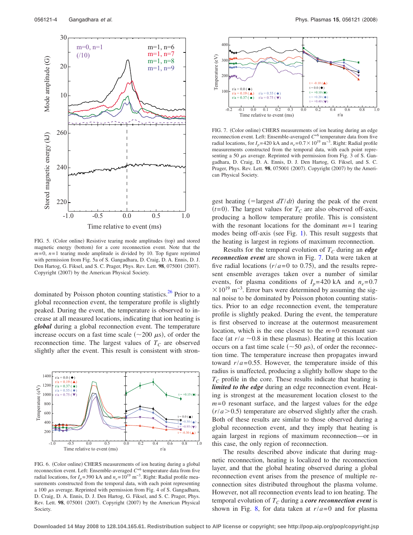<span id="page-3-0"></span>

FIG. 5. (Color online) Resistive tearing mode amplitudes (top) and stored magnetic energy (bottom) for a core reconnection event. Note that the  $m=0$ ,  $n=1$  tearing mode amplitude is divided by 10. Top figure reprinted with permission from Fig. 5a of S. Gangadhara, D. Craig, D. A. Ennis, D. J. Den Hartog, G. Fiksel, and S. C. Prager, Phys. Rev. Lett. 98, 075001 (2007). Copyright (2007) by the American Physical Society.

dominated by Poisson photon counting statistics.<sup>26</sup> Prior to a global reconnection event, the temperature profile is slightly peaked. During the event, the temperature is observed to increase at all measured locations, indicating that ion heating is *global* during a global reconnection event. The temperature increase occurs on a fast time scale ( $\sim$ 200  $\mu$ s), of order the reconnection time. The largest values of  $T_c$  are observed slightly after the event. This result is consistent with stron-

<span id="page-3-1"></span>

FIG. 6. (Color online) CHERS measurements of ion heating during a global reconnection event. Left: Ensemble-averaged  $C^{+6}$  temperature data from five radial locations, for  $I_p$ = 390 kA and  $n_e$ = 10<sup>19</sup> m<sup>-3</sup>. Right: Radial profile measurements constructed from the temporal data, with each point representing a 100  $\mu$ s average. Reprinted with permission from Fig. 4 of S. Gangadhara, D. Craig, D. A. Ennis, D. J. Den Hartog, G. Fiksel, and S. C. Prager, Phys. Rev. Lett. 98, 075001 (2007). Copyright (2007) by the American Physical Society.

<span id="page-3-2"></span>

FIG. 7. (Color online) CHERS measurements of ion heating during an edge reconnection event. Left: Ensemble-averaged *C*+6 temperature data from five radial locations, for  $I_p$ =420 kA and  $n_e$ =0.7 × 10<sup>19</sup> m<sup>-3</sup>. Right: Radial profile measurements constructed from the temporal data, with each point representing a 50  $\mu$ s average. Reprinted with permission from Fig. 3 of S. Gangadhara, D. Craig, D. A. Ennis, D. J. Den Hartog, G. Fiksel, and S. C. Prager, Phys. Rev. Lett. 98, 075001 (2007). Copyright (2007) by the American Physical Society.

gest heating (=largest  $dT/dt$ ) during the peak of the event  $(t=0)$ . The largest values for  $T_C$  are also observed off-axis, producing a hollow temperature profile. This is consistent with the resonant locations for the dominant  $m=1$  tearing modes being off-axis (see Fig. [1](#page-1-0)). This result suggests that the heating is largest in regions of maximum reconnection.

Results for the temporal evolution of  $T_c$  during an *edge reconnection event* are shown in Fig. [7.](#page-3-2) Data were taken at five radial locations  $(r/a=0$  to 0.75), and the results represent ensemble averages taken over a number of similar events, for plasma conditions of  $I_p$ =420 kA and  $n_e$ =0.7  $\times 10^{19}$  m<sup>-3</sup>. Error bars were determined by assuming the signal noise to be dominated by Poisson photon counting statistics. Prior to an edge reconnection event, the temperature profile is slightly peaked. During the event, the temperature is first observed to increase at the outermost measurement location, which is the one closest to the  $m=0$  resonant surface (at  $r/a \sim 0.8$  in these plasmas). Heating at this location occurs on a fast time scale ( $\sim$ 50  $\mu$ s), of order the reconnection time. The temperature increase then propagates inward toward  $r/a = 0.55$ . However, the temperature inside of this radius is unaffected, producing a slightly hollow shape to the  $T_c$  profile in the core. These results indicate that heating is *limited to the edge* during an edge reconnection event. Heating is strongest at the measurement location closest to the *m*= 0 resonant surface, and the largest values for the edge  $(r/a > 0.5)$  temperature are observed slightly after the crash. Both of these results are similar to those observed during a global reconnection event, and they imply that heating is again largest in regions of maximum reconnection—or in this case, the only region of reconnection.

The results described above indicate that during magnetic reconnection, heating is localized to the reconnection layer, and that the global heating observed during a global reconnection event arises from the presence of multiple reconnection sites distributed throughout the plasma volume. However, not all reconnection events lead to ion heating. The temporal evolution of  $T_C$  during a *core reconnection event* is shown in Fig. [8,](#page-4-0) for data taken at  $r/a = 0$  and for plasma

**Downloaded 14 May 2008 to 128.104.165.61. Redistribution subject to AIP license or copyright; see http://pop.aip.org/pop/copyright.jsp**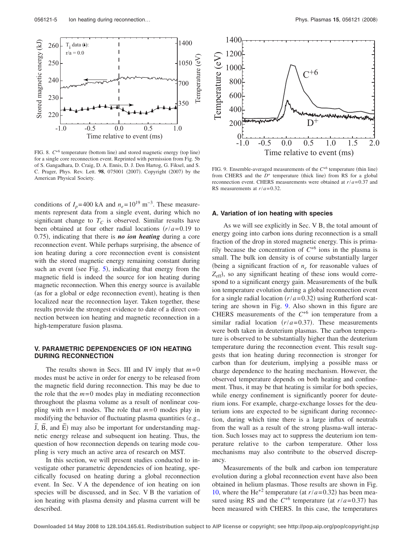<span id="page-4-0"></span>

FIG. 8.  $C^{+6}$  temperature (bottom line) and stored magnetic energy (top line) for a single core reconnection event. Reprinted with permission from Fig. 5b of S. Gangadhara, D. Craig, D. A. Ennis, D. J. Den Hartog, G. Fiksel, and S. C. Prager, Phys. Rev. Lett. 98, 075001 (2007). Copyright (2007) by the American Physical Society.

conditions of  $I_p$ =400 kA and  $n_e$ =10<sup>19</sup> m<sup>-3</sup>. These measurements represent data from a single event, during which no significant change to  $T_c$  is observed. Similar results have been obtained at four other radial locations  $(r/a=0.19)$  to 0.75), indicating that there is **no ion heating** during a core reconnection event. While perhaps surprising, the absence of ion heating during a core reconnection event is consistent with the stored magnetic energy remaining constant during such an event (see Fig. [5](#page-3-0)), indicating that energy from the magnetic field is indeed the source for ion heating during magnetic reconnection. When this energy source is available (as for a global or edge reconnection event), heating is then localized near the reconnection layer. Taken together, these results provide the strongest evidence to date of a direct connection between ion heating and magnetic reconnection in a high-temperature fusion plasma.

## **V. PARAMETRIC DEPENDENCIES OF ION HEATING DURING RECONNECTION**

The results shown in Secs. III and IV imply that  $m=0$ modes must be active in order for energy to be released from the magnetic field during reconnection. This may be due to the role that the  $m=0$  modes play in mediating reconnection throughout the plasma volume as a result of nonlinear coupling with *m*= 1 modes. The role that *m*= 0 modes play in modifying the behavior of fluctuating plasma quantities (e.g.,  $\overline{J}$ ,  $\overline{B}$ , and  $\overline{E}$ ) may also be important for understanding magnetic energy release and subsequent ion heating. Thus, the question of how reconnection depends on tearing mode coupling is very much an active area of research on MST.

In this section, we will present studies conducted to investigate other parametric dependencies of ion heating, specifically focused on heating during a global reconnection event. In Sec. V A the dependence of ion heating on ion species will be discussed, and in Sec. V B the variation of ion heating with plasma density and plasma current will be described.

<span id="page-4-1"></span>

FIG. 9. Ensemble-averaged measurements of the  $C^{+6}$  temperature (thin line) from CHERS and the  $D^+$  temperature (thick line) from RS for a global reconnection event. CHERS measurements were obtained at *r*/*a*= 0.37 and RS measurements at *r*/*a*= 0.32.

#### **A. Variation of ion heating with species**

As we will see explicitly in Sec. V B, the total amount of energy going into carbon ions during reconnection is a small fraction of the drop in stored magnetic energy. This is primarily because the concentration of  $C^{+6}$  ions in the plasma is small. The bulk ion density is of course substantially larger (being a significant fraction of  $n_e$  for reasonable values of  $Z_{\text{eff}}$ ), so any significant heating of these ions would correspond to a significant energy gain. Measurements of the bulk ion temperature evolution during a global reconnection event for a single radial location  $(r/a=0.32)$  using Rutherford scattering are shown in Fig. [9.](#page-4-1) Also shown in this figure are CHERS measurements of the  $C^{+6}$  ion temperature from a similar radial location  $(r/a=0.37)$ . These measurements were both taken in deuterium plasmas. The carbon temperature is observed to be substantially higher than the deuterium temperature during the reconnection event. This result suggests that ion heating during reconnection is stronger for carbon than for deuterium, implying a possible mass or charge dependence to the heating mechanism. However, the observed temperature depends on both heating and confinement. Thus, it may be that heating is similar for both species, while energy confinement is significantly poorer for deuterium ions. For example, charge-exchange losses for the deuterium ions are expected to be significant during reconnection, during which time there is a large influx of neutrals from the wall as a result of the strong plasma-wall interaction. Such losses may act to suppress the deuterium ion temperature relative to the carbon temperature. Other loss mechanisms may also contribute to the observed discrepancy.

Measurements of the bulk and carbon ion temperature evolution during a global reconnection event have also been obtained in helium plasmas. Those results are shown in Fig. [10,](#page-5-0) where the He<sup>+2</sup> temperature (at  $r/a = 0.32$ ) has been measured using RS and the  $C^{+6}$  temperature (at  $r/a = 0.37$ ) has been measured with CHERS. In this case, the temperatures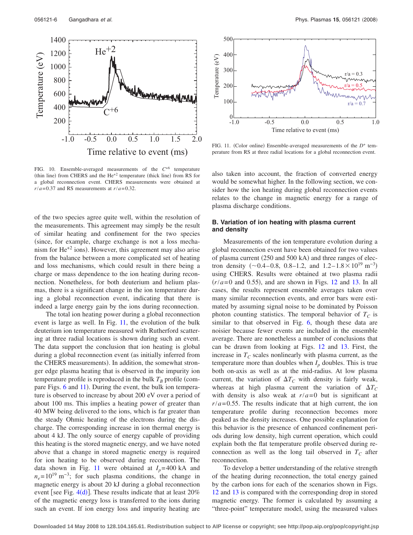<span id="page-5-0"></span>

<span id="page-5-1"></span>

FIG. 11. (Color online) Ensemble-averaged measurements of the  $D^+$  temperature from RS at three radial locations for a global reconnection event.

FIG. 10. Ensemble-averaged measurements of the *C*+6 temperature (thin line) from CHERS and the  $He^{+2}$  temperature (thick line) from RS for a global reconnection event. CHERS measurements were obtained at  $r/a = 0.37$  and RS measurements at  $r/a = 0.32$ .

of the two species agree quite well, within the resolution of the measurements. This agreement may simply be the result of similar heating and confinement for the two species (since, for example, charge exchange is not a loss mechanism for  $He^{+2}$  ions). However, this agreement may also arise from the balance between a more complicated set of heating and loss mechanisms, which could result in there being a charge or mass dependence to the ion heating during reconnection. Nonetheless, for both deuterium and helium plasmas, there is a significant change in the ion temperature during a global reconnection event, indicating that there is indeed a large energy gain by the ions during reconnection.

The total ion heating power during a global reconnection event is large as well. In Fig. [11,](#page-5-1) the evolution of the bulk deuterium ion temperature measured with Rutherford scattering at three radial locations is shown during such an event. The data support the conclusion that ion heating is global during a global reconnection event (as initially inferred from the CHERS measurements). In addition, the somewhat stronger edge plasma heating that is observed in the impurity ion temperature profile is reproduced in the bulk  $T_B$  profile (com-pare Figs. [6](#page-3-1) and [11](#page-5-1)). During the event, the bulk ion temperature is observed to increase by about 200 eV over a period of about 100 ms. This implies a heating power of greater than 40 MW being delivered to the ions, which is far greater than the steady Ohmic heating of the electrons during the discharge. The corresponding increase in ion thermal energy is about 4 kJ. The only source of energy capable of providing this heating is the stored magnetic energy, and we have noted above that a change in stored magnetic energy is required for ion heating to be observed during reconnection. The data shown in Fig. [11](#page-5-1) were obtained at  $I_p$ = 400 kA and  $n_e$ = 10<sup>19</sup> m<sup>-3</sup>; for such plasma conditions, the change in magnetic energy is about 20 kJ during a global reconnection event [see Fig.  $4(d)$  $4(d)$ ]. These results indicate that at least 20% of the magnetic energy loss is transferred to the ions during such an event. If ion energy loss and impurity heating are also taken into account, the fraction of converted energy would be somewhat higher. In the following section, we consider how the ion heating during global reconnection events relates to the change in magnetic energy for a range of plasma discharge conditions.

# **B. Variation of ion heating with plasma current and density**

Measurements of the ion temperature evolution during a global reconnection event have been obtained for two values of plasma current (250 and 500 kA) and three ranges of electron density  $(\sim 0.4 - 0.8, 0.8 - 1.2, \text{ and } 1.2 - 1.8 \times 10^{19} \text{ m}^{-3})$ using CHERS. Results were obtained at two plasma radii  $(r/a=0$  and 0.55), and are shown in Figs. [12](#page-6-0) and [13.](#page-6-1) In all cases, the results represent ensemble averages taken over many similar reconnection events, and error bars were estimated by assuming signal noise to be dominated by Poisson photon counting statistics. The temporal behavior of  $T_c$  is similar to that observed in Fig. [6,](#page-3-1) though these data are noisier because fewer events are included in the ensemble average. There are nonetheless a number of conclusions that can be drawn from looking at Figs. [12](#page-6-0) and [13.](#page-6-1) First, the increase in  $T_c$  scales nonlinearly with plasma current, as the temperature more than doubles when  $I<sub>p</sub>$  doubles. This is true both on-axis as well as at the mid-radius. At low plasma current, the variation of  $\Delta T_C$  with density is fairly weak, whereas at high plasma current the variation of  $\Delta T_C$ with density is also weak at  $r/a = 0$  but is significant at  $r/a = 0.55$ . The results indicate that at high current, the ion temperature profile during reconnection becomes more peaked as the density increases. One possible explanation for this behavior is the presence of enhanced confinement periods during low density, high current operation, which could explain both the flat temperature profile observed during reconnection as well as the long tail observed in  $T_c$  after reconnection.

To develop a better understanding of the relative strength of the heating during reconnection, the total energy gained by the carbon ions for each of the scenarios shown in Figs. [12](#page-6-0) and [13](#page-6-1) is compared with the corresponding drop in stored magnetic energy. The former is calculated by assuming a "three-point" temperature model, using the measured values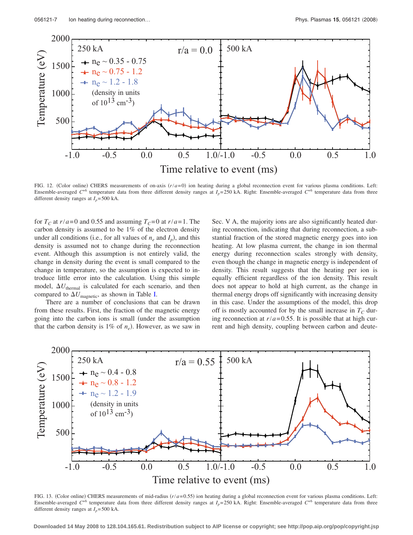<span id="page-6-0"></span>

FIG. 12. (Color online) CHERS measurements of on-axis  $(r/a=0)$  ion heating during a global reconnection event for various plasma conditions. Left: Ensemble-averaged  $C^{+6}$  temperature data from three different density ranges at  $I_p$ = 250 kA. Right: Ensemble-averaged  $C^{+6}$  temperature data from three different density ranges at  $I_p$ = 500 kA.

for  $T_c$  at  $r/a = 0$  and 0.55 and assuming  $T_c = 0$  at  $r/a = 1$ . The carbon density is assumed to be 1% of the electron density under all conditions (i.e., for all values of  $n_e$  and  $I_p$ ), and this density is assumed not to change during the reconnection event. Although this assumption is not entirely valid, the change in density during the event is small compared to the change in temperature, so the assumption is expected to introduce little error into the calculation. Using this simple model,  $\Delta U_{\text{thermal}}$  is calculated for each scenario, and then compared to  $\Delta U_{\text{magnetic}}$ , as shown in Table [I.](#page-7-0)

There are a number of conclusions that can be drawn from these results. First, the fraction of the magnetic energy going into the carbon ions is small under the assumption that the carbon density is  $1\%$  of  $n_e$ ). However, as we saw in

Sec. V A, the majority ions are also significantly heated during reconnection, indicating that during reconnection, a substantial fraction of the stored magnetic energy goes into ion heating. At low plasma current, the change in ion thermal energy during reconnection scales strongly with density, even though the change in magnetic energy is independent of density. This result suggests that the heating per ion is equally efficient regardless of the ion density. This result does not appear to hold at high current, as the change in thermal energy drops off significantly with increasing density in this case. Under the assumptions of the model, this drop off is mostly accounted for by the small increase in  $T_c$  during reconnection at  $r/a = 0.55$ . It is possible that at high current and high density, coupling between carbon and deute-

<span id="page-6-1"></span>

FIG. 13. (Color online) CHERS measurements of mid-radius  $(r/a=0.55)$  ion heating during a global reconnection event for various plasma conditions. Left: Ensemble-averaged  $C^{+6}$  temperature data from three different density ranges at  $I<sub>n</sub>=250$  kA. Right: Ensemble-averaged  $C^{+6}$  temperature data from three different density ranges at  $I_p$ = 500 kA.

**Downloaded 14 May 2008 to 128.104.165.61. Redistribution subject to AIP license or copyright; see http://pop.aip.org/pop/copyright.jsp**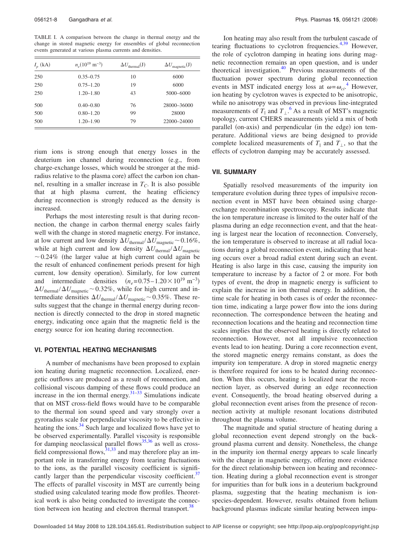<span id="page-7-0"></span>TABLE I. A comparison between the change in thermal energy and the change in stored magnetic energy for ensembles of global reconnection events generated at various plasma currents and densities.

| $I_n$ (kA) | $n_e(10^{19} \text{ m}^{-3})$ | $\Delta U_{\text{thermal}}(\text{J})$ | $\Delta U_{\text{magnetic}}(J)$ |
|------------|-------------------------------|---------------------------------------|---------------------------------|
| 250        | $0.35 - 0.75$                 | 10                                    | 6000                            |
| 250        | $0.75 - 1.20$                 | 19                                    | 6000                            |
| 250        | $1.20 - 1.80$                 | 43                                    | 5000-6000                       |
| 500        | $0.40 - 0.80$                 | 76                                    | 28000-36000                     |
| 500        | $0.80 - 1.20$                 | 99                                    | 28000                           |
| 500        | $1.20 - 1.90$                 | 79                                    | 22000-24000                     |

rium ions is strong enough that energy losses in the deuterium ion channel during reconnection (e.g., from charge-exchange losses, which would be stronger at the midradius relative to the plasma core) affect the carbon ion channel, resulting in a smaller increase in  $T_c$ . It is also possible that at high plasma current, the heating efficiency during reconnection is strongly reduced as the density is increased.

Perhaps the most interesting result is that during reconnection, the change in carbon thermal energy scales fairly well with the change in stored magnetic energy. For instance, at low current and low density  $\Delta U_{\text{thermal}}/\Delta U_{\text{magnetic}}$  ~ 0.16%, while at high current and low density  $\Delta U_{\text{thermal}}/\Delta U_{\text{magnetic}}$  $\sim 0.24\%$  (the larger value at high current could again be the result of enhanced confinement periods present for high current, low density operation). Similarly, for low current and intermediate densities  $(n_e=0.75-1.20\times10^{19} \text{ m}^{-3})$  $\Delta U_{\text{thermal}}/\Delta U_{\text{magnetic}}$  ~ 0.32%, while for high current and intermediate densities  $\Delta U_{\text{thermal}}/\Delta U_{\text{magnetic}}$  ~ 0.35%. These results suggest that the change in thermal energy during reconnection is directly connected to the drop in stored magnetic energy, indicating once again that the magnetic field is the energy source for ion heating during reconnection.

#### **VI. POTENTIAL HEATING MECHANISMS**

A number of mechanisms have been proposed to explain ion heating during magnetic reconnection. Localized, energetic outflows are produced as a result of reconnection, and collisional viscous damping of these flows could produce an increase in the ion thermal energy. $31-33$  Simulations indicate that on MST cross-field flows would have to be comparable to the thermal ion sound speed and vary strongly over a gyroradius scale for perpendicular viscosity to be effective in heating the ions.<sup>34</sup> Such large and localized flows have yet to be observed experimentally. Parallel viscosity is responsible for damping neoclassical parallel flows $35,36$  $35,36$  as well as crossfield compressional flows,  $31,33$  $31,33$  and may therefore play an important role in transferring energy from tearing fluctuations to the ions, as the parallel viscosity coefficient is significantly larger than the perpendicular viscosity coefficient.<sup>37</sup> The effects of parallel viscosity in MST are currently being studied using calculated tearing mode flow profiles. Theoretical work is also being conducted to investigate the connection between ion heating and electron thermal transport.<sup>38</sup>

Ion heating may also result from the turbulent cascade of tearing fluctuations to cyclotron frequencies. $4,39$  $4,39$  However, the role of cyclotron damping in heating ions during magnetic reconnection remains an open question, and is under theoretical investigation.<sup>40</sup> Previous measurements of the fluctuation power spectrum during global reconnection events in MST indicated energy loss at  $\omega = \omega_{ci}^{4}$  $\omega = \omega_{ci}^{4}$  $\omega = \omega_{ci}^{4}$  However, ion heating by cyclotron waves is expected to be anisotropic, while no anisotropy was observed in previous line-integrated measurements of  $T_{\parallel}$  and  $T_{\perp}$ <sup>[6](#page-8-2)</sup> As a result of MST's magnetic topology, current CHERS measurements yield a mix of both parallel (on-axis) and perpendicular (in the edge) ion temperature. Additional views are being designed to provide complete localized measurements of  $T_{\parallel}$  and  $T_{\perp}$ , so that the effects of cyclotron damping may be accurately assessed.

#### **VII. SUMMARY**

Spatially resolved measurements of the impurity ion temperature evolution during three types of impulsive reconnection event in MST have been obtained using chargeexchange recombination spectroscopy. Results indicate that the ion temperature increase is limited to the outer half of the plasma during an edge reconnection event, and that the heating is largest near the location of reconnection. Conversely, the ion temperature is observed to increase at all radial locations during a global reconnection event, indicating that heating occurs over a broad radial extent during such an event. Heating is also large in this case, causing the impurity ion temperature to increase by a factor of 2 or more. For both types of event, the drop in magnetic energy is sufficient to explain the increase in ion thermal energy. In addition, the time scale for heating in both cases is of order the reconnection time, indicating a large power flow into the ions during reconnection. The correspondence between the heating and reconnection locations and the heating and reconnection time scales implies that the observed heating is directly related to reconnection. However, not all impulsive reconnection events lead to ion heating. During a core reconnection event, the stored magnetic energy remains constant, as does the impurity ion temperature. A drop in stored magnetic energy is therefore required for ions to be heated during reconnection. When this occurs, heating is localized near the reconnection layer, as observed during an edge reconnection event. Consequently, the broad heating observed during a global reconnection event arises from the presence of reconnection activity at multiple resonant locations distributed throughout the plasma volume.

The magnitude and spatial structure of heating during a global reconnection event depend strongly on the background plasma current and density. Nonetheless, the change in the impurity ion thermal energy appears to scale linearly with the change in magnetic energy, offering more evidence for the direct relationship between ion heating and reconnection. Heating during a global reconnection event is stronger for impurities than for bulk ions in a deuterium background plasma, suggesting that the heating mechanism is ionspecies-dependent. However, results obtained from helium background plasmas indicate similar heating between impu